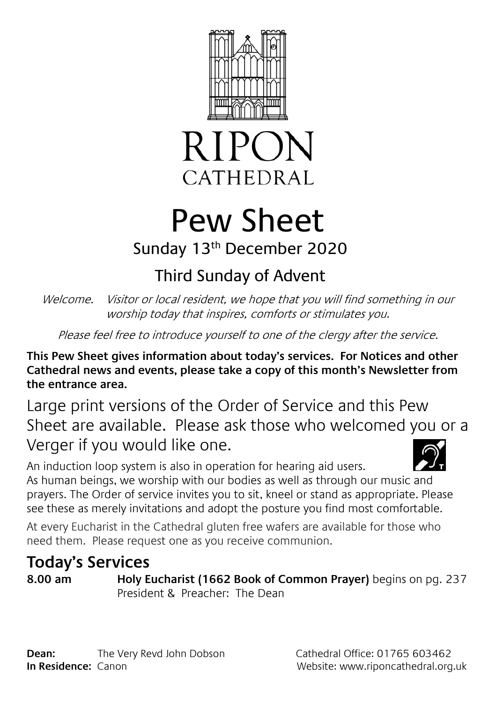



# Pew Sheet

#### Sunday 13th December 2020

## Third Sunday of Advent

Welcome. Visitor or local resident, we hope that you will find something in our worship today that inspires, comforts or stimulates you.

Please feel free to introduce yourself to one of the clergy after the service.

**This Pew Sheet gives information about today's services. For Notices and other Cathedral news and events, please take a copy of this month's Newsletter from the entrance area.** 

Large print versions of the Order of Service and this Pew Sheet are available. Please ask those who welcomed you or a Verger if you would like one.

An induction loop system is also in operation for hearing aid users. As human beings, we worship with our bodies as well as through our music and prayers. The Order of service invites you to sit, kneel or stand as appropriate. Please see these as merely invitations and adopt the posture you find most comfortable.

At every Eucharist in the Cathedral gluten free wafers are available for those who need them. Please request one as you receive communion.

### **Today's Services**

**8.00 am Holy Eucharist (1662 Book of Common Prayer)** begins on pg. 237 President & Preacher: The Dean